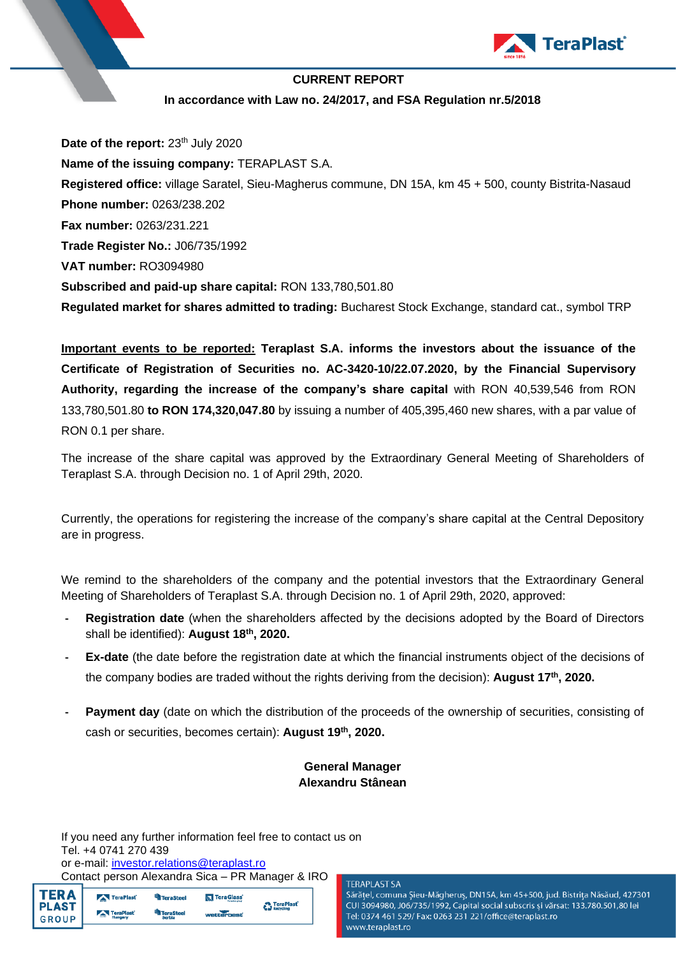

### **CURRENT REPORT In accordance with Law no. 24/2017, and FSA Regulation nr.5/2018**

Date of the report: 23<sup>th</sup> July 2020 **Name of the issuing company:** TERAPLAST S.A. **Registered office:** village Saratel, Sieu-Magherus commune, DN 15A, km 45 + 500, county Bistrita-Nasaud **Phone number:** 0263/238.202 **Fax number:** 0263/231.221 **Trade Register No.:** J06/735/1992 **VAT number:** RO3094980 **Subscribed and paid-up share capital:** RON 133,780,501.80 **Regulated market for shares admitted to trading:** Bucharest Stock Exchange, standard cat., symbol TRP

**Important events to be reported: Teraplast S.A. informs the investors about the issuance of the Certificate of Registration of Securities no. AC-3420-10/22.07.2020, by the Financial Supervisory Authority, regarding the increase of the company's share capital** with RON 40,539,546 from RON 133,780,501.80 **to RON 174,320,047.80** by issuing a number of 405,395,460 new shares, with a par value of RON 0.1 per share.

The increase of the share capital was approved by the Extraordinary General Meeting of Shareholders of Teraplast S.A. through Decision no. 1 of April 29th, 2020.

Currently, the operations for registering the increase of the company's share capital at the Central Depository are in progress.

We remind to the shareholders of the company and the potential investors that the Extraordinary General Meeting of Shareholders of Teraplast S.A. through Decision no. 1 of April 29th, 2020, approved:

- **- Registration date** (when the shareholders affected by the decisions adopted by the Board of Directors shall be identified): **August 18th , 2020.**
- **- Ex-date** (the date before the registration date at which the financial instruments object of the decisions of the company bodies are traded without the rights deriving from the decision): **August 17 th , 2020.**
- **- Payment day** (date on which the distribution of the proceeds of the ownership of securities, consisting of cash or securities, becomes certain): **August 19 th , 2020.**

#### **General Manager Alexandru Stânean**

If you need any further information feel free to contact us on Tel. +4 0741 270 439 or e-mail: *investor.relations@teraplast.ro* Contact person Alexandra Sica – PR Manager & IRO

|   | Contact person Alexandra Sica – PR Manager & IRC |  |
|---|--------------------------------------------------|--|
| . |                                                  |  |

| I TERA I<br>  PLAST | TeraPlast      | <sup>th</sup> TeraSteel | <b>K</b> TeraGlass | <b>C</b> TeraPlast <sup>'</sup> |  |
|---------------------|----------------|-------------------------|--------------------|---------------------------------|--|
|                     | TeraPlast      | <b>R</b> TeraSteel      | wetterbest         |                                 |  |
| GROUP               | <b>Hungary</b> | Serbia                  |                    |                                 |  |

 $\overline{ }$ 

Sărățel, comuna Șieu-Măgheruș, DN15A, km 45+500, jud. Bistrița Năsăud, 427301 CUI 3094980, J06/735/1992, Capital social subscris și vărsat: 133.780.501,80 lei Tel: 0374 461 529/ Fax: 0263 231 221/office@teraplast.ro www.teraplast.ro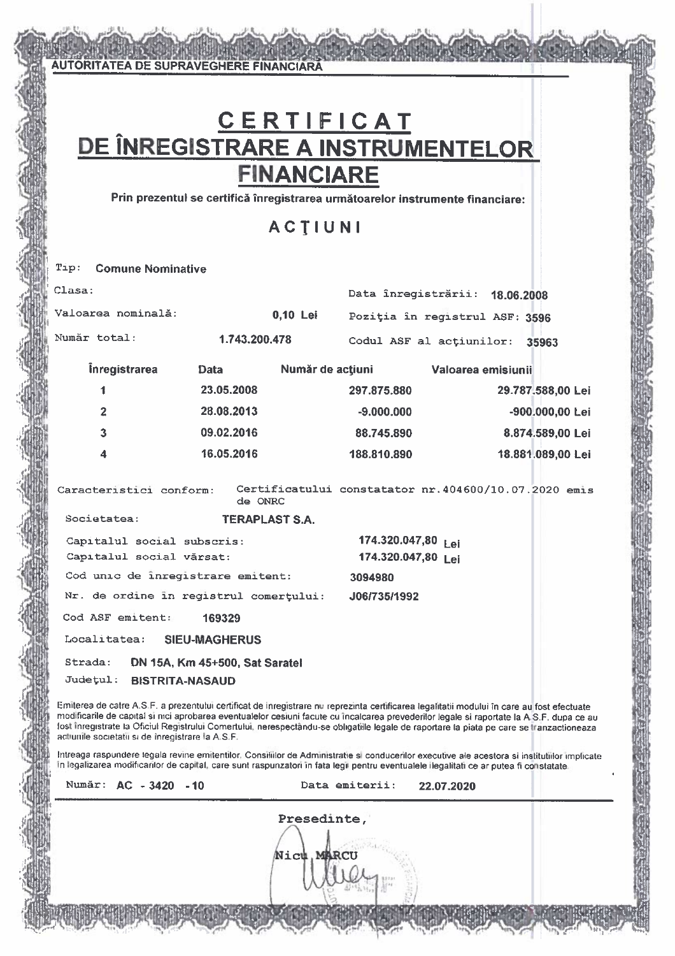# C E R T I F I C A T<br>DE ÎNREGISTRARE A INSTRUMENTELOR **FINANCIARE**

**AUTORITATEA DE SUPRAVEGHERE FINANCIARA** 

Prin prezentul se certifică înregistrarea următoarelor instrumente financiare:

ACTIUNI

| Clasa:                                 |                                  |                  | Data înregistrării: 18.06.2008                                                                                                             |                   |
|----------------------------------------|----------------------------------|------------------|--------------------------------------------------------------------------------------------------------------------------------------------|-------------------|
| Valoarea nominală:                     |                                  | 0,10 Lei         | Poziția în registrul ASF: 3596                                                                                                             |                   |
| Număr total:                           | 1.743.200.478                    |                  | Codul ASF al actiunilor: 35963                                                                                                             |                   |
| <i><u><b>inregistrarea</b></u></i>     | <b>Data</b>                      | Număr de acțiuni | Valoarea emisiunii                                                                                                                         |                   |
| 1                                      | 23.05.2008                       |                  | 297.875.880                                                                                                                                | 29.787.588,00 Lei |
| $\overline{2}$                         | 28.08.2013                       |                  | $-9.000.000$                                                                                                                               | -900.000,00 Lei   |
| $\overline{3}$                         | 09.02.2016                       |                  | 88.745.890                                                                                                                                 | 8.874.589,00 Lei  |
| $\overline{\mathbf{4}}$                | 16.05.2016                       |                  | 188.810.890                                                                                                                                | 18.881.089,00 Lei |
| Caracteristici conform:<br>Societatea: | de ONRC<br><b>TERAPLAST S.A.</b> |                  | Certificatului constatator nr. 404600/10.07.2020 emis                                                                                      |                   |
| Capitalul social subscris:             |                                  |                  | 174.320.047,80 Lei                                                                                                                         |                   |
| Capitalul social vărsat:               |                                  |                  | 174.320.047,80 Lei                                                                                                                         |                   |
| Cod unic de înregistrare emitent:      |                                  |                  | 3094980                                                                                                                                    |                   |
| Nr. de ordine in registrul comerțului: |                                  |                  | J06/735/1992                                                                                                                               |                   |
| Cod ASF emitent:                       | 169329                           |                  |                                                                                                                                            |                   |
| Localitatea: SIEU-MAGHERUS             |                                  |                  |                                                                                                                                            |                   |
| Strada:<br>Județul: BISTRITA-NASAUD    | DN 15A, Km 45+500, Sat Saratel   |                  |                                                                                                                                            |                   |
|                                        |                                  |                  | Emiterea de catre A.S.F. a prezentului certificat de inregistrare nu reprezinta certificarea legalitatii modului în care au fost efectuate |                   |

modificarile de capital si nici aprobarea eventualelor cesiuni facute cu încalcarea prevederilor legale si raportate la A.S.F. dupa ce au fost înregistrate la Oficiul Registrului Comertului, nerespectându-se obligatiile legale de raportare la piata pe care se tranzactioneaza actiunile societatii si de înregistrare la A.S.F.

Intreaga raspundere legala revine emitentilor, Consiliilor de Administratie si conducerilor executive ale acestora si institutilor implicate In legalizarea modificarilor de capital, care sunt raspunzatori în fata legii pentru eventualele ilegalitati ce ar putea fi constatate.

| Număr: AC - 3420 - 10 | Data emiterii:<br>22.07.2020 |
|-----------------------|------------------------------|
|                       | Presedinte,                  |
|                       | Nict. MARCU                  |
|                       |                              |
|                       |                              |
|                       |                              |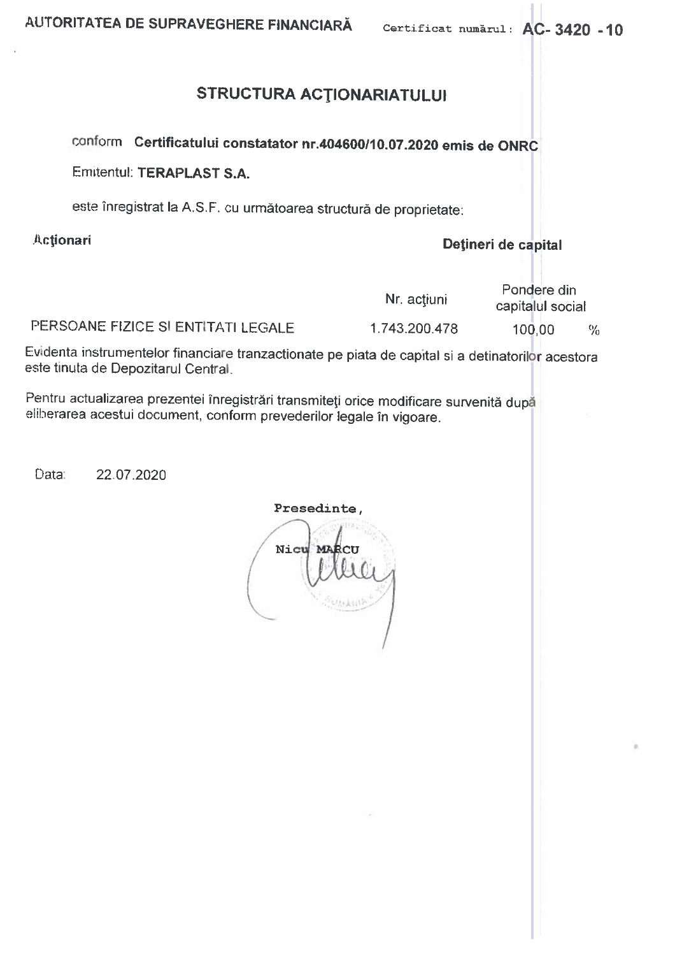## STRUCTURA ACTIONARIATULUI

conform Certificatului constatator nr.404600/10.07.2020 emis de ONRC

Emitentul: TERAPLAST S.A.

este înregistrat la A.S.F. cu următoarea structură de proprietate:

Actionari

### Dețineri de capital

|                                    | Nr. actiuni   | Pondere din<br>capitalul social |      |
|------------------------------------|---------------|---------------------------------|------|
| PERSOANE FIZICE SI ENTITATI LEGALE | 1.743.200.478 | 100.00                          | $\%$ |

Evidenta instrumentelor financiare tranzactionate pe piata de capital si a detinatorilor acestora este tinuta de Depozitarul Central.

Pentru actualizarea prezentei înregistrări transmiteți orice modificare survenită după eliberarea acestui document, conform prevederilor legale în vigoare.

Data: 22.07.2020

Presedinte, Nicu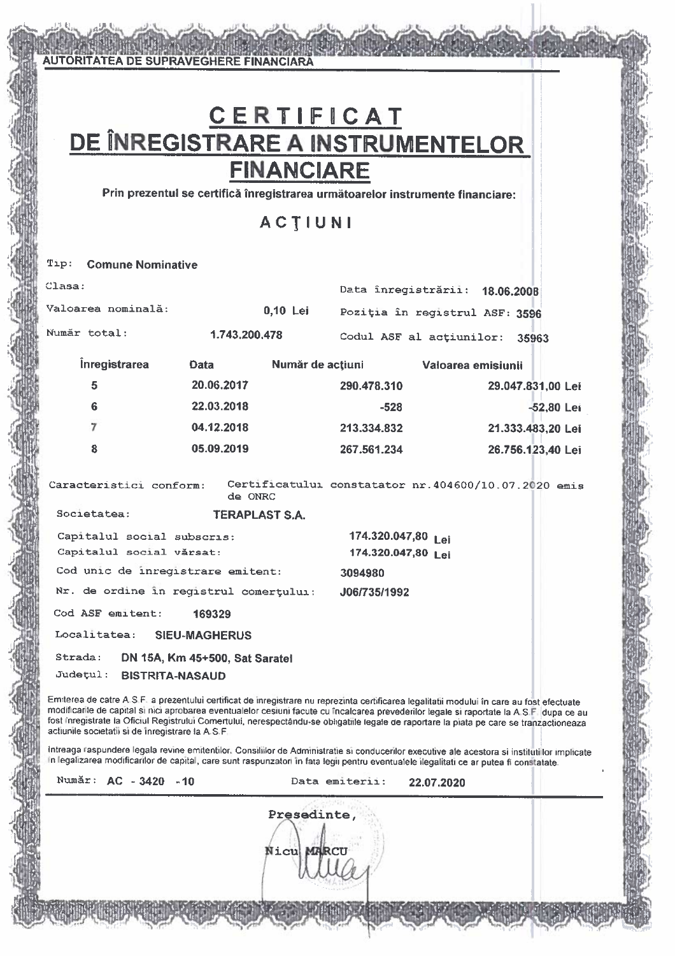# CERTIFICAT<br>DE ÎNREGISTRARE A INSTRUMENTELOR **FINANCIARE**

**AUTORITATEA DE SUPRAVEGHERE FINANCIARA** 

Prin prezentul se certifică înregistrarea următoarelor instrumente financiare:

## **ACTIUNI**

| $\text{Lip} = \text{Gamma}$ comune Nominative          |                                                          |                                                       |                                          |                   |
|--------------------------------------------------------|----------------------------------------------------------|-------------------------------------------------------|------------------------------------------|-------------------|
| Clasa:                                                 |                                                          |                                                       | Data înregistrării: 18.06.2008           |                   |
| Valoarea nominală:                                     |                                                          | $0,10$ Lei                                            | Poziția în registrul ASF: 3596           |                   |
| Număr total:                                           | 1.743.200.478                                            |                                                       | Codul ASF al actiunilor: 35963           |                   |
| <i><u><b>inregistrarea</b></u></i>                     | Data                                                     | Număr de acțiuni                                      | Valoarea emisiunii                       |                   |
| 5                                                      | 20.06.2017                                               | 290.478.310                                           |                                          | 29.047.831,00 Lei |
| 6                                                      | 22.03.2018                                               |                                                       | $-528$                                   | $-52,80$ Lei      |
| 7                                                      | 04.12.2018                                               | 213.334.832                                           |                                          | 21.333.483,20 Lei |
| 8                                                      | 05.09.2019                                               | 267.561.234                                           |                                          | 26.756.123,40 Lei |
| Caracteristici conform:                                | de ONRC                                                  | Certificatului constatator nr. 404600/10.07.2020 emis |                                          |                   |
| Societatea:                                            | <b>TERAPLAST S.A.</b>                                    |                                                       |                                          |                   |
| Capitalul social subscris:<br>Capitalul social vărsat: |                                                          |                                                       | 174.320.047,80 Lei<br>174.320.047,80 Lei |                   |
|                                                        | Cod unic de inregistrare emitent:                        | 3094980                                               |                                          |                   |
|                                                        | Nr. de ordine în registrul comertului:                   | J06/735/1992                                          |                                          |                   |
| Cod ASF emitent:                                       | 169329                                                   |                                                       |                                          |                   |
| Localitatea: SIEU-MAGHERUS                             |                                                          |                                                       |                                          |                   |
| Strada:<br>Judetul:                                    | DN 15A, Km 45+500, Sat Saratel<br><b>BISTRITA-NASAUD</b> |                                                       |                                          |                   |

Emiterea de catre A.S.F. a prezentului certificat de inregistrare nu reprezinta certificarea legalitatii modului în care au fost efectuate modificarile de capital si nici aprobarea eventualelor cesiuni facute cu încalcarea prevederilor legale si raportate la A.S.F. dupa ce au fost inregistrate la Oficiul Registrului Comertului, nerespectându-se obligatiile legale de raportare la piata pe care se tranzactioneaza actiunile societatii si de înregistrare la A.S.F

Intreaga raspundere legala revine emitentilor. Consiliilor de Administratie si conducerilor executive ale acestora si institutilor implicate In legalizarea modificarilor de capital, care sunt raspunzatori în fata legii pentru eventualele ilegalitati ce ar putea fi constatate.

| Numár: | $AC - 3420$ |  | - 10 |  |
|--------|-------------|--|------|--|
|        |             |  |      |  |

Data emiterii: 22.07.2020

Presedinte, Nicu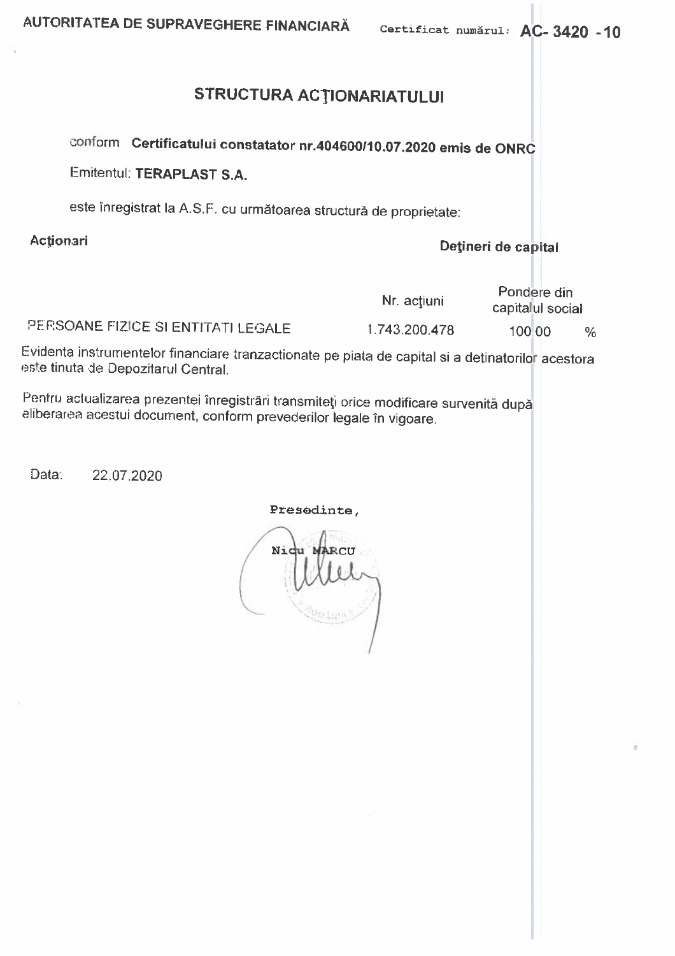## STRUCTURA ACTIONARIATULUI

conform Certificatului constatator nr.404600/10.07.2020 emis de ONRC

Emitentul: TERAPLAST S.A.

este înregistrat la A.S.F. cu următoarea structură de proprietate:

Actionari

Detineri de capital

|                                    | Nr. actiuni   | Pondere din<br>capitalul social |      |
|------------------------------------|---------------|---------------------------------|------|
| PERSOANE FIZICE SI ENTITATI LEGALE | 1.743.200.478 | 100 00                          | $\%$ |

Evidenta instrumentelor financiare tranzactionate pe piata de capital si a detinatorilor acestora este tinuta de Depozitarul Central.

Pentru actualizarea prezentei înregistrări transmiteți orice modificare survenită după eliberarea acestui document, conform prevederilor legale în vigoare.

Data: 22.07.2020

#### Presedinte,

Ni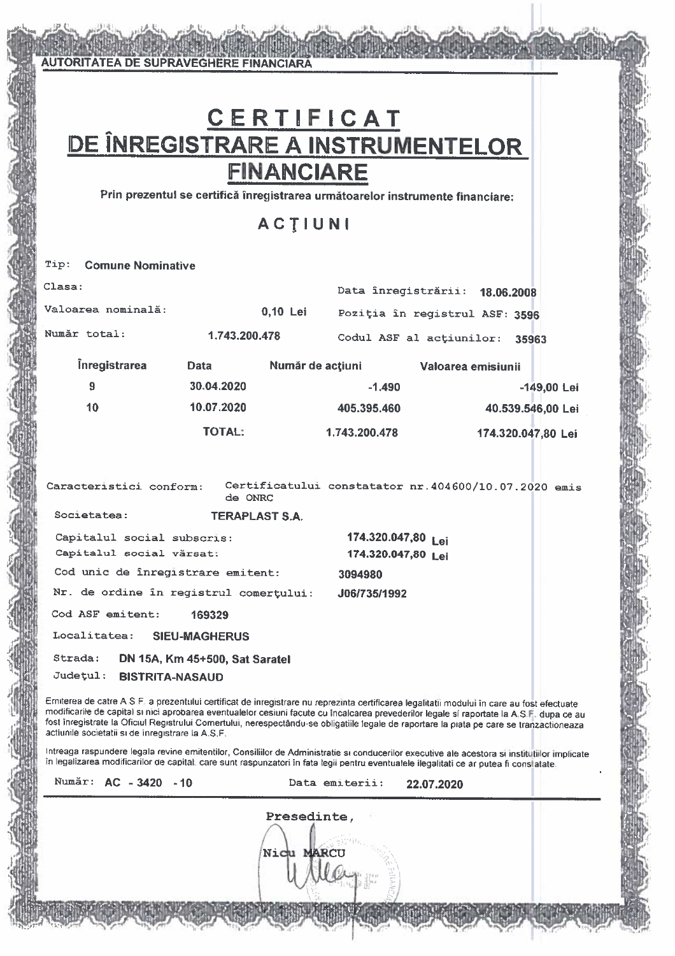# CERTIFICAT<br>DE ÎNREGISTRARE A INSTRUMENTELOR **FINANCIARE**

**AUTORITATEA DE SUPRAVEGHERE FINANCIARA** 

Prin prezentui se certifică înregistrarea următoarelor instrumente financiare:

### **ACTIUNI**

| Clasa:                                                                                                                                                                                                    |               |                       | Data înregistrării: 18.06.2008 |                    |                                                       |
|-----------------------------------------------------------------------------------------------------------------------------------------------------------------------------------------------------------|---------------|-----------------------|--------------------------------|--------------------|-------------------------------------------------------|
| Valoarea nominală:                                                                                                                                                                                        |               | 0,10 Lei              | Poziția în registrul ASF: 3596 |                    |                                                       |
| Număr total:                                                                                                                                                                                              | 1.743.200.478 |                       |                                |                    | Codul ASF al actiunilor: 35963                        |
| <i><u><b>Inregistrarea</b></u></i>                                                                                                                                                                        | Data          |                       | Număr de acțiuni               | Valoarea emisiunii |                                                       |
| 9                                                                                                                                                                                                         | 30.04.2020    |                       | $-1.490$                       |                    | $-149,00$ Lei                                         |
| 10 <sub>1</sub>                                                                                                                                                                                           | 10.07.2020    |                       | 405.395.460                    |                    | 40.539.546,00 Lei                                     |
|                                                                                                                                                                                                           | <b>TOTAL:</b> |                       | 1.743.200.478                  |                    | 174.320.047,80 Lei                                    |
|                                                                                                                                                                                                           |               |                       |                                |                    |                                                       |
| Caracteristici conform:                                                                                                                                                                                   | de ONRC       |                       |                                |                    | Certificatului constatator nr. 404600/10.07.2020 emis |
| Societatea:                                                                                                                                                                                               |               | <b>TERAPLAST S.A.</b> |                                |                    |                                                       |
| Capitalul social subscris:                                                                                                                                                                                |               |                       | 174.320.047,80 Lei             |                    |                                                       |
| Capitalul social vărsat:                                                                                                                                                                                  |               |                       | 174.320.047,80 Lei             |                    |                                                       |
| Cod unic de înregistrare emitent:                                                                                                                                                                         |               |                       | 3094980                        |                    |                                                       |
| Nr. de ordine în registrul comerțului: J06/735/1992                                                                                                                                                       |               |                       |                                |                    |                                                       |
| Cod ASF emitent:                                                                                                                                                                                          | 169329        |                       |                                |                    |                                                       |
| Localitatea: SIEU-MAGHERUS                                                                                                                                                                                |               |                       |                                |                    |                                                       |
| Strada: DN 15A, Km 45+500, Sat Saratel<br>Judetul: BISTRITA-NASAUD                                                                                                                                        |               |                       |                                |                    |                                                       |
| $\mathsf{Exbitrary}$ do onto $\Lambda \subseteq \mathsf{Exnormal}(d)$ and $\mathsf{Ext}(\mathsf{B})$ and $\mathsf{Ext}(\mathsf{B})$ are set of $\mathsf{Ext}(\mathsf{B})$ . If $\mathsf{Ext}(\mathsf{B})$ |               |                       |                                |                    |                                                       |

Emiterea de catre A.S.F. a prezentului certificat de inregistrare nu reprezinta certificarea legalitatii modului în care au fost efectuate modificarile de capital si nici aprobarea eventualelor cesiuni facute cu încalcarea prevederilor legale si raportate la A.S.F. dupa ce au fost inregistrate la Oficiul Registrului Comertului, nerespectându-se obligatiile legale de raportare la piata pe care se tranzactioneaza actiunile societatii si de inregistrare la A.S.F.

Intreaga raspundere legala revine emitentilor, Consiliilor de Administratie si conducerilor executive ale acestora si institutiilor implicate în legalizarea modificarilor de capital, care sunt raspunzatori în fata legii pentru eventualele ilegalitati ce ar putea fi conslatate.

| Numār: <b>AC -3420</b><br>$-10$ |  |
|---------------------------------|--|
|---------------------------------|--|

Data emiterii: 22.07.2020

Presedinte, Nic